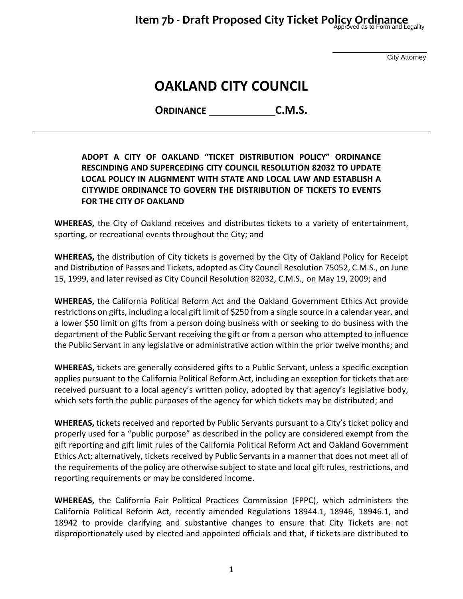City Attorney

# **OAKLAND CITY COUNCIL**

**ORDINANCE C.M.S.**

### **ADOPT A CITY OF OAKLAND "TICKET DISTRIBUTION POLICY" ORDINANCE RESCINDING AND SUPERCEDING CITY COUNCIL RESOLUTION 82032 TO UPDATE LOCAL POLICY IN ALIGNMENT WITH STATE AND LOCAL LAW AND ESTABLISH A CITYWIDE ORDINANCE TO GOVERN THE DISTRIBUTION OF TICKETS TO EVENTS FOR THE CITY OF OAKLAND**

**WHEREAS,** the City of Oakland receives and distributes tickets to a variety of entertainment, sporting, or recreational events throughout the City; and

**WHEREAS,** the distribution of City tickets is governed by the City of Oakland Policy for Receipt and Distribution of Passes and Tickets, adopted as City Council Resolution 75052, C.M.S., on June 15, 1999, and later revised as City Council Resolution 82032, C.M.S., on May 19, 2009; and

**WHEREAS,** the California Political Reform Act and the Oakland Government Ethics Act provide restrictions on gifts, including a local gift limit of \$250 from a single source in a calendar year, and a lower \$50 limit on gifts from a person doing business with or seeking to do business with the department of the Public Servant receiving the gift or from a person who attempted to influence the Public Servant in any legislative or administrative action within the prior twelve months; and

**WHEREAS,** tickets are generally considered gifts to a Public Servant, unless a specific exception applies pursuant to the California Political Reform Act, including an exception for tickets that are received pursuant to a local agency's written policy, adopted by that agency's legislative body, which sets forth the public purposes of the agency for which tickets may be distributed; and

**WHEREAS,** tickets received and reported by Public Servants pursuant to a City's ticket policy and properly used for a "public purpose" as described in the policy are considered exempt from the gift reporting and gift limit rules of the California Political Reform Act and Oakland Government Ethics Act; alternatively, tickets received by Public Servants in a manner that does not meet all of the requirements of the policy are otherwise subject to state and local gift rules, restrictions, and reporting requirements or may be considered income.

**WHEREAS,** the California Fair Political Practices Commission (FPPC), which administers the California Political Reform Act, recently amended Regulations 18944.1, 18946, 18946.1, and 18942 to provide clarifying and substantive changes to ensure that City Tickets are not disproportionately used by elected and appointed officials and that, if tickets are distributed to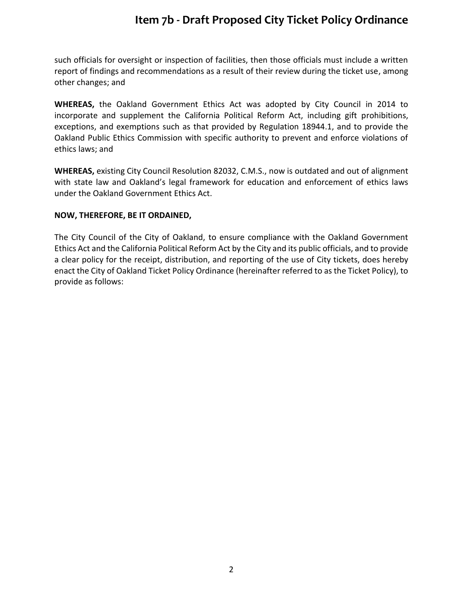such officials for oversight or inspection of facilities, then those officials must include a written report of findings and recommendations as a result of their review during the ticket use, among other changes; and

**WHEREAS,** the Oakland Government Ethics Act was adopted by City Council in 2014 to incorporate and supplement the California Political Reform Act, including gift prohibitions, exceptions, and exemptions such as that provided by Regulation 18944.1, and to provide the Oakland Public Ethics Commission with specific authority to prevent and enforce violations of ethics laws; and

**WHEREAS,** existing City Council Resolution 82032, C.M.S., now is outdated and out of alignment with state law and Oakland's legal framework for education and enforcement of ethics laws under the Oakland Government Ethics Act.

### **NOW, THEREFORE, BE IT ORDAINED,**

The City Council of the City of Oakland, to ensure compliance with the Oakland Government Ethics Act and the California Political Reform Act by the City and its public officials, and to provide a clear policy for the receipt, distribution, and reporting of the use of City tickets, does hereby enact the City of Oakland Ticket Policy Ordinance (hereinafter referred to as the Ticket Policy), to provide as follows: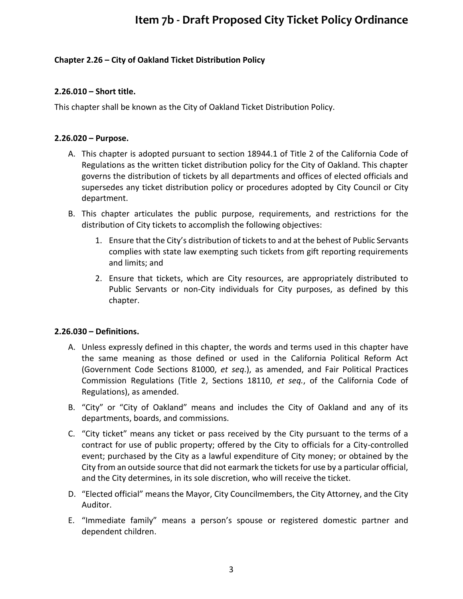### **Chapter 2.26 – City of Oakland Ticket Distribution Policy**

### **2.26.010 – Short title.**

This chapter shall be known as the City of Oakland Ticket Distribution Policy.

### **2.26.020 – Purpose.**

- A. This chapter is adopted pursuant to section 18944.1 of Title 2 of the California Code of Regulations as the written ticket distribution policy for the City of Oakland. This chapter governs the distribution of tickets by all departments and offices of elected officials and supersedes any ticket distribution policy or procedures adopted by City Council or City department.
- B. This chapter articulates the public purpose, requirements, and restrictions for the distribution of City tickets to accomplish the following objectives:
	- 1. Ensure that the City's distribution of tickets to and at the behest of Public Servants complies with state law exempting such tickets from gift reporting requirements and limits; and
	- 2. Ensure that tickets, which are City resources, are appropriately distributed to Public Servants or non-City individuals for City purposes, as defined by this chapter.

### **2.26.030 – Definitions.**

- A. Unless expressly defined in this chapter, the words and terms used in this chapter have the same meaning as those defined or used in the California Political Reform Act (Government Code Sections 81000, *et seq*.), as amended, and Fair Political Practices Commission Regulations (Title 2, Sections 18110, *et seq.*, of the California Code of Regulations), as amended.
- B. "City" or "City of Oakland" means and includes the City of Oakland and any of its departments, boards, and commissions.
- C. "City ticket" means any ticket or pass received by the City pursuant to the terms of a contract for use of public property; offered by the City to officials for a City-controlled event; purchased by the City as a lawful expenditure of City money; or obtained by the City from an outside source that did not earmark the tickets for use by a particular official, and the City determines, in its sole discretion, who will receive the ticket.
- D. "Elected official" means the Mayor, City Councilmembers, the City Attorney, and the City Auditor.
- E. "Immediate family" means a person's spouse or registered domestic partner and dependent children.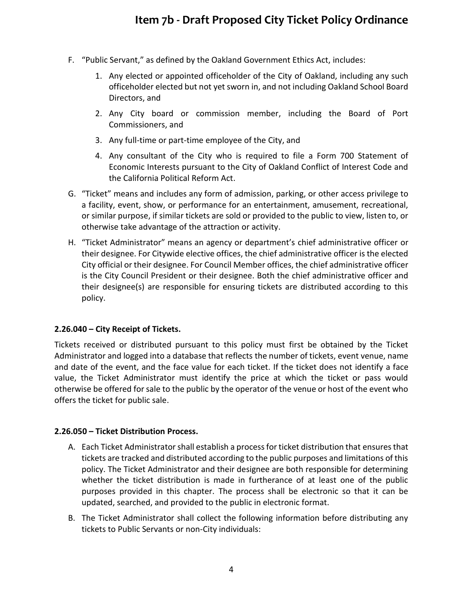- F. "Public Servant," as defined by the Oakland Government Ethics Act, includes:
	- 1. Any elected or appointed officeholder of the City of Oakland, including any such officeholder elected but not yet sworn in, and not including Oakland School Board Directors, and
	- 2. Any City board or commission member, including the Board of Port Commissioners, and
	- 3. Any full-time or part-time employee of the City, and
	- 4. Any consultant of the City who is required to file a Form 700 Statement of Economic Interests pursuant to the City of Oakland Conflict of Interest Code and the California Political Reform Act.
- G. "Ticket" means and includes any form of admission, parking, or other access privilege to a facility, event, show, or performance for an entertainment, amusement, recreational, or similar purpose, if similar tickets are sold or provided to the public to view, listen to, or otherwise take advantage of the attraction or activity.
- H. "Ticket Administrator" means an agency or department's chief administrative officer or their designee. For Citywide elective offices, the chief administrative officer is the elected City official or their designee. For Council Member offices, the chief administrative officer is the City Council President or their designee. Both the chief administrative officer and their designee(s) are responsible for ensuring tickets are distributed according to this policy.

### **2.26.040 – City Receipt of Tickets.**

Tickets received or distributed pursuant to this policy must first be obtained by the Ticket Administrator and logged into a database that reflects the number of tickets, event venue, name and date of the event, and the face value for each ticket. If the ticket does not identify a face value, the Ticket Administrator must identify the price at which the ticket or pass would otherwise be offered for sale to the public by the operator of the venue or host of the event who offers the ticket for public sale.

#### **2.26.050 – Ticket Distribution Process.**

- A. Each Ticket Administrator shall establish a process for ticket distribution that ensures that tickets are tracked and distributed according to the public purposes and limitations of this policy. The Ticket Administrator and their designee are both responsible for determining whether the ticket distribution is made in furtherance of at least one of the public purposes provided in this chapter. The process shall be electronic so that it can be updated, searched, and provided to the public in electronic format.
- B. The Ticket Administrator shall collect the following information before distributing any tickets to Public Servants or non-City individuals: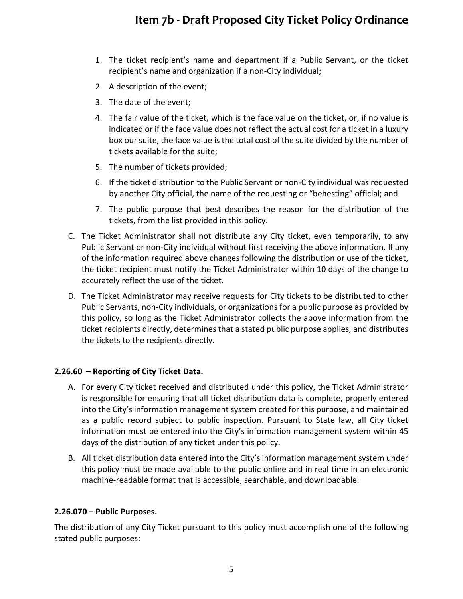- 1. The ticket recipient's name and department if a Public Servant, or the ticket recipient's name and organization if a non-City individual;
- 2. A description of the event;
- 3. The date of the event;
- 4. The fair value of the ticket, which is the face value on the ticket, or, if no value is indicated or if the face value does not reflect the actual cost for a ticket in a luxury box our suite, the face value is the total cost of the suite divided by the number of tickets available for the suite;
- 5. The number of tickets provided;
- 6. If the ticket distribution to the Public Servant or non-City individual was requested by another City official, the name of the requesting or "behesting" official; and
- 7. The public purpose that best describes the reason for the distribution of the tickets, from the list provided in this policy.
- C. The Ticket Administrator shall not distribute any City ticket, even temporarily, to any Public Servant or non-City individual without first receiving the above information. If any of the information required above changes following the distribution or use of the ticket, the ticket recipient must notify the Ticket Administrator within 10 days of the change to accurately reflect the use of the ticket.
- D. The Ticket Administrator may receive requests for City tickets to be distributed to other Public Servants, non-City individuals, or organizations for a public purpose as provided by this policy, so long as the Ticket Administrator collects the above information from the ticket recipients directly, determines that a stated public purpose applies, and distributes the tickets to the recipients directly.

#### **2.26.60 – Reporting of City Ticket Data.**

- A. For every City ticket received and distributed under this policy, the Ticket Administrator is responsible for ensuring that all ticket distribution data is complete, properly entered into the City's information management system created for this purpose, and maintained as a public record subject to public inspection. Pursuant to State law, all City ticket information must be entered into the City's information management system within 45 days of the distribution of any ticket under this policy.
- B. All ticket distribution data entered into the City's information management system under this policy must be made available to the public online and in real time in an electronic machine-readable format that is accessible, searchable, and downloadable.

#### **2.26.070 – Public Purposes.**

The distribution of any City Ticket pursuant to this policy must accomplish one of the following stated public purposes: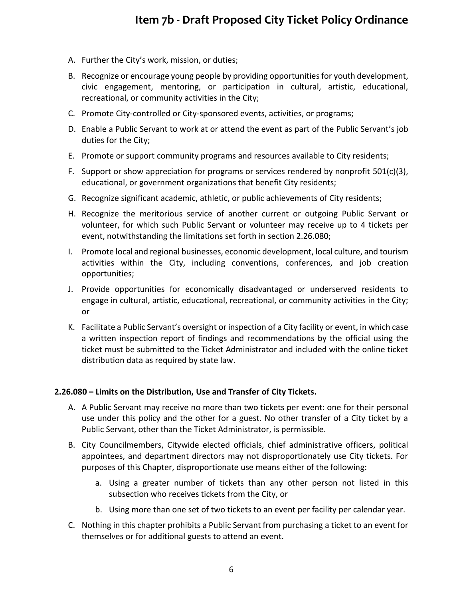- A. Further the City's work, mission, or duties;
- B. Recognize or encourage young people by providing opportunities for youth development, civic engagement, mentoring, or participation in cultural, artistic, educational, recreational, or community activities in the City;
- C. Promote City-controlled or City-sponsored events, activities, or programs;
- D. Enable a Public Servant to work at or attend the event as part of the Public Servant's job duties for the City;
- E. Promote or support community programs and resources available to City residents;
- F. Support or show appreciation for programs or services rendered by nonprofit  $501(c)(3)$ , educational, or government organizations that benefit City residents;
- G. Recognize significant academic, athletic, or public achievements of City residents;
- H. Recognize the meritorious service of another current or outgoing Public Servant or volunteer, for which such Public Servant or volunteer may receive up to 4 tickets per event, notwithstanding the limitations set forth in section 2.26.080;
- I. Promote local and regional businesses, economic development, local culture, and tourism activities within the City, including conventions, conferences, and job creation opportunities;
- J. Provide opportunities for economically disadvantaged or underserved residents to engage in cultural, artistic, educational, recreational, or community activities in the City; or
- K. Facilitate a Public Servant's oversight or inspection of a City facility or event, in which case a written inspection report of findings and recommendations by the official using the ticket must be submitted to the Ticket Administrator and included with the online ticket distribution data as required by state law.

#### **2.26.080 – Limits on the Distribution, Use and Transfer of City Tickets.**

- A. A Public Servant may receive no more than two tickets per event: one for their personal use under this policy and the other for a guest. No other transfer of a City ticket by a Public Servant, other than the Ticket Administrator, is permissible.
- B. City Councilmembers, Citywide elected officials, chief administrative officers, political appointees, and department directors may not disproportionately use City tickets. For purposes of this Chapter, disproportionate use means either of the following:
	- a. Using a greater number of tickets than any other person not listed in this subsection who receives tickets from the City, or
	- b. Using more than one set of two tickets to an event per facility per calendar year.
- C. Nothing in this chapter prohibits a Public Servant from purchasing a ticket to an event for themselves or for additional guests to attend an event.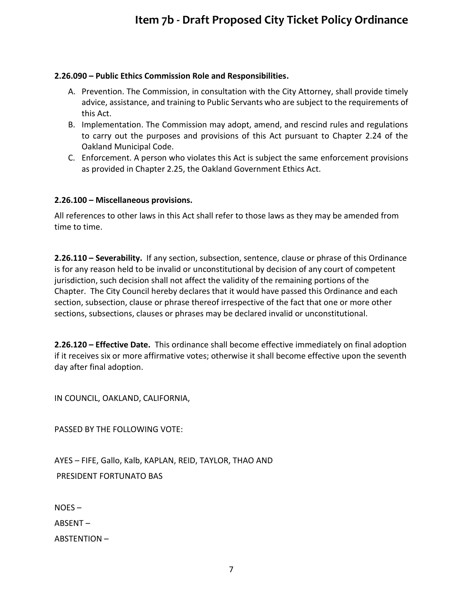### **2.26.090 – Public Ethics Commission Role and Responsibilities.**

- A. Prevention. The Commission, in consultation with the City Attorney, shall provide timely advice, assistance, and training to Public Servants who are subject to the requirements of this Act.
- B. Implementation. The Commission may adopt, amend, and rescind rules and regulations to carry out the purposes and provisions of this Act pursuant to Chapter 2.24 of the Oakland Municipal Code.
- C. Enforcement. A person who violates this Act is subject the same enforcement provisions as provided in Chapter 2.25, the Oakland Government Ethics Act.

### **2.26.100 – Miscellaneous provisions.**

All references to other laws in this Act shall refer to those laws as they may be amended from time to time.

**2.26.110 – Severability.** If any section, subsection, sentence, clause or phrase of this Ordinance is for any reason held to be invalid or unconstitutional by decision of any court of competent jurisdiction, such decision shall not affect the validity of the remaining portions of the Chapter. The City Council hereby declares that it would have passed this Ordinance and each section, subsection, clause or phrase thereof irrespective of the fact that one or more other sections, subsections, clauses or phrases may be declared invalid or unconstitutional.

**2.26.120 – Effective Date.** This ordinance shall become effective immediately on final adoption if it receives six or more affirmative votes; otherwise it shall become effective upon the seventh day after final adoption.

IN COUNCIL, OAKLAND, CALIFORNIA,

PASSED BY THE FOLLOWING VOTE:

AYES – FIFE, Gallo, Kalb, KAPLAN, REID, TAYLOR, THAO AND PRESIDENT FORTUNATO BAS

NOES –

ABSENT –

ABSTENTION –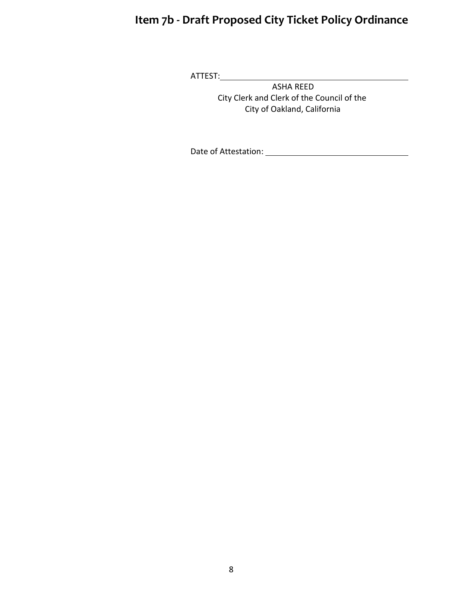ATTEST:

ASHA REED City Clerk and Clerk of the Council of the City of Oakland, California

Date of Attestation: